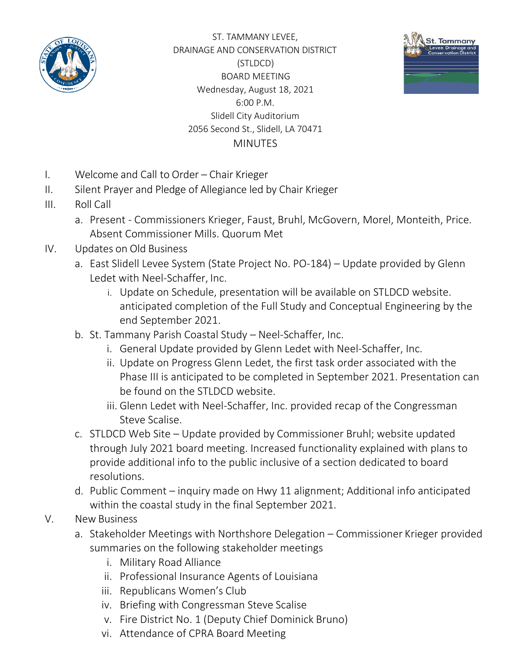

ST. TAMMANY LEVEE, DRAINAGE AND CONSERVATION DISTRICT (STLDCD) BOARD MEETING Wednesday, August 18, 2021 6:00 P.M. Slidell City Auditorium 2056 Second St., Slidell, LA 70471 **MINUTES** 



- I. Welcome and Call to Order Chair Krieger
- II. Silent Prayer and Pledge of Allegiance led by Chair Krieger
- III. Roll Call
	- a. Present Commissioners Krieger, Faust, Bruhl, McGovern, Morel, Monteith, Price. Absent Commissioner Mills. Quorum Met
- IV. Updates on Old Business
	- a. East Slidell Levee System (State Project No. PO-184) Update provided by Glenn Ledet with Neel-Schaffer, Inc.
		- i. Update on Schedule, presentation will be available on STLDCD website. anticipated completion of the Full Study and Conceptual Engineering by the end September 2021.
	- b. St. Tammany Parish Coastal Study Neel-Schaffer, Inc.
		- i. General Update provided by Glenn Ledet with Neel-Schaffer, Inc.
		- ii. Update on Progress Glenn Ledet, the first task order associated with the Phase III is anticipated to be completed in September 2021. Presentation can be found on the STLDCD website.
		- iii. Glenn Ledet with Neel-Schaffer, Inc. provided recap of the Congressman Steve Scalise.
	- c. STLDCD Web Site Update provided by Commissioner Bruhl; website updated through July 2021 board meeting. Increased functionality explained with plans to provide additional info to the public inclusive of a section dedicated to board resolutions.
	- d. Public Comment inquiry made on Hwy 11 alignment; Additional info anticipated within the coastal study in the final September 2021.

## V. New Business

- a. Stakeholder Meetings with Northshore Delegation Commissioner Krieger provided summaries on the following stakeholder meetings
	- i. Military Road Alliance
	- ii. Professional Insurance Agents of Louisiana
	- iii. Republicans Women's Club
	- iv. Briefing with Congressman Steve Scalise
	- v. Fire District No. 1 (Deputy Chief Dominick Bruno)
	- vi. Attendance of CPRA Board Meeting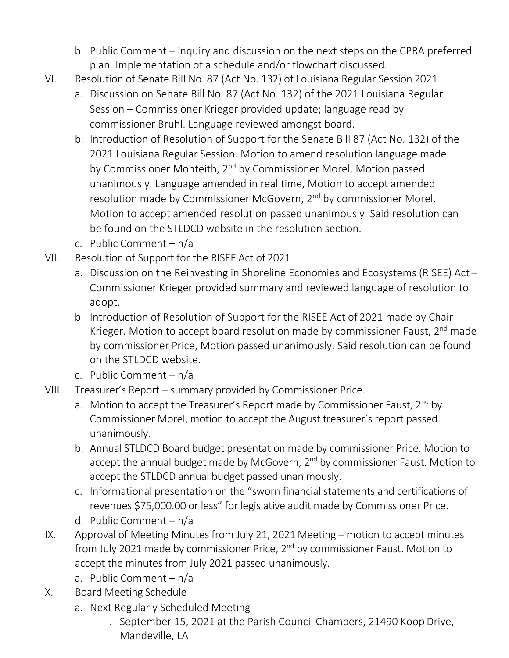- b. Public Comment inquiry and discussion on the next steps on the CPRA preferred plan. Implementation of a schedule and/or flowchart discussed.
- VI. Resolution of Senate Bill No. 87 (Act No. 132) of Louisiana Regular Session 2021
	- a. Discussion on Senate Bill No. 87 (Act No. 132) of the 2021 Louisiana Regular Session – Commissioner Krieger provided update; language read by commissioner Bruhl. Language reviewed amongst board.
	- b. Introduction of Resolution of Support for the Senate Bill 87 (Act No. 132) of the 2021 Louisiana Regular Session. Motion to amend resolution language made by Commissioner Monteith, 2<sup>nd</sup> by Commissioner Morel. Motion passed unanimously. Language amended in real time, Motion to accept amended resolution made by Commissioner McGovern, 2<sup>nd</sup> by commissioner Morel. Motion to accept amended resolution passed unanimously. Said resolution can be found on the STLDCD website in the resolution section.
	- c. Public Comment n/a
- VII. Resolution of Support for the RISEE Act of 2021
	- a. Discussion on the Reinvesting in Shoreline Economies and Ecosystems (RISEE) Act Commissioner Krieger provided summary and reviewed language of resolution to adopt.
	- b. Introduction of Resolution of Support for the RISEE Act of 2021 made by Chair Krieger. Motion to accept board resolution made by commissioner Faust,  $2^{nd}$  made by commissioner Price, Motion passed unanimously. Said resolution can be found on the STLDCD website.
	- c. Public Comment n/a
- VIII. Treasurer's Report summary provided by Commissioner Price.
	- a. Motion to accept the Treasurer's Report made by Commissioner Faust,  $2^{nd}$  by Commissioner Morel, motion to accept the August treasurer's report passed unanimously.
	- b. Annual STLDCD Board budget presentation made by commissioner Price. Motion to accept the annual budget made by McGovern, 2<sup>nd</sup> by commissioner Faust. Motion to accept the STLDCD annual budget passed unanimously.
	- c. Informational presentation on the "sworn financial statements and certifications of revenues \$75,000.00 or less" for legislative audit made by Commissioner Price.
	- d. Public Comment n/a
- IX. Approval of Meeting Minutes from July 21, 2021 Meeting motion to accept minutes from July 2021 made by commissioner Price, 2<sup>nd</sup> by commissioner Faust. Motion to accept the minutes from July 2021 passed unanimously.
	- a. Public Comment n/a
- X. Board Meeting Schedule
	- a. Next Regularly Scheduled Meeting
		- i. September 15, 2021 at the Parish Council Chambers, 21490 Koop Drive, Mandeville, LA